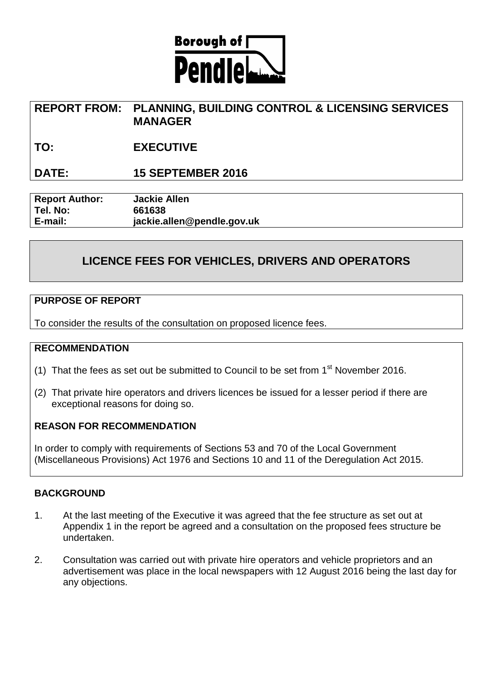

# **REPORT FROM: PLANNING, BUILDING CONTROL & LICENSING SERVICES MANAGER**

**TO: EXECUTIVE**

## **DATE: 15 SEPTEMBER 2016**

**Report Author: Jackie Allen Tel. No: 661638 E-mail: jackie.allen@pendle.gov.uk**

# **LICENCE FEES FOR VEHICLES, DRIVERS AND OPERATORS**

#### **PURPOSE OF REPORT**

To consider the results of the consultation on proposed licence fees.

#### **RECOMMENDATION**

- (1) That the fees as set out be submitted to Council to be set from  $1<sup>st</sup>$  November 2016.
- (2) That private hire operators and drivers licences be issued for a lesser period if there are exceptional reasons for doing so.

#### **REASON FOR RECOMMENDATION**

In order to comply with requirements of Sections 53 and 70 of the Local Government (Miscellaneous Provisions) Act 1976 and Sections 10 and 11 of the Deregulation Act 2015.

### **BACKGROUND**

- 1. At the last meeting of the Executive it was agreed that the fee structure as set out at Appendix 1 in the report be agreed and a consultation on the proposed fees structure be undertaken.
- 2. Consultation was carried out with private hire operators and vehicle proprietors and an advertisement was place in the local newspapers with 12 August 2016 being the last day for any objections.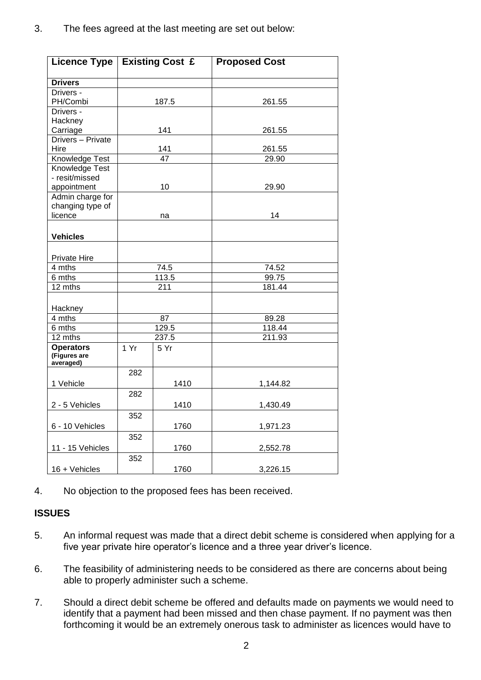| <b>Licence Type</b>         |                 | <b>Existing Cost £</b> | <b>Proposed Cost</b> |
|-----------------------------|-----------------|------------------------|----------------------|
| <b>Drivers</b>              |                 |                        |                      |
| Drivers -                   |                 |                        |                      |
| PH/Combi                    | 187.5           |                        | 261.55               |
| Drivers -                   |                 |                        |                      |
| Hackney                     |                 |                        |                      |
| Carriage                    |                 | 141                    | 261.55               |
| Drivers - Private           |                 |                        |                      |
| Hire                        | 141             |                        | 261.55               |
| Knowledge Test              | $\overline{47}$ |                        | 29.90                |
| <b>Knowledge Test</b>       |                 |                        |                      |
| - resit/missed              |                 |                        |                      |
| appointment                 | 10              |                        | 29.90                |
| Admin charge for            |                 |                        |                      |
| changing type of<br>licence | na              |                        | 14                   |
|                             |                 |                        |                      |
|                             |                 |                        |                      |
| <b>Vehicles</b>             |                 |                        |                      |
|                             |                 |                        |                      |
| <b>Private Hire</b>         |                 |                        |                      |
| 4 mths                      | 74.5            |                        | 74.52                |
| 6 mths                      | 113.5           |                        | 99.75                |
| 12 mths                     |                 | 211                    | 181.44               |
|                             |                 |                        |                      |
| Hackney                     | 87              |                        |                      |
| 4 mths<br>6 mths            | 129.5           |                        | 89.28<br>118.44      |
| 12 mths                     | 237.5           |                        | 211.93               |
| <b>Operators</b>            | 1 Yr            |                        |                      |
| (Figures are                |                 | 5 Yr                   |                      |
| averaged)                   |                 |                        |                      |
|                             | 282             |                        |                      |
| 1 Vehicle                   |                 | 1410                   | 1,144.82             |
|                             | 282             |                        |                      |
| 2 - 5 Vehicles              |                 | 1410                   | 1,430.49             |
|                             | 352             |                        |                      |
| 6 - 10 Vehicles             |                 | 1760                   | 1,971.23             |
|                             | 352             |                        |                      |
| 11 - 15 Vehicles            |                 | 1760                   | 2,552.78             |
|                             | 352             |                        |                      |
| 16 + Vehicles               |                 | 1760                   | 3,226.15             |
|                             |                 |                        |                      |

4. No objection to the proposed fees has been received.

## **ISSUES**

- 5. An informal request was made that a direct debit scheme is considered when applying for a five year private hire operator's licence and a three year driver's licence.
- 6. The feasibility of administering needs to be considered as there are concerns about being able to properly administer such a scheme.
- 7. Should a direct debit scheme be offered and defaults made on payments we would need to identify that a payment had been missed and then chase payment. If no payment was then forthcoming it would be an extremely onerous task to administer as licences would have to